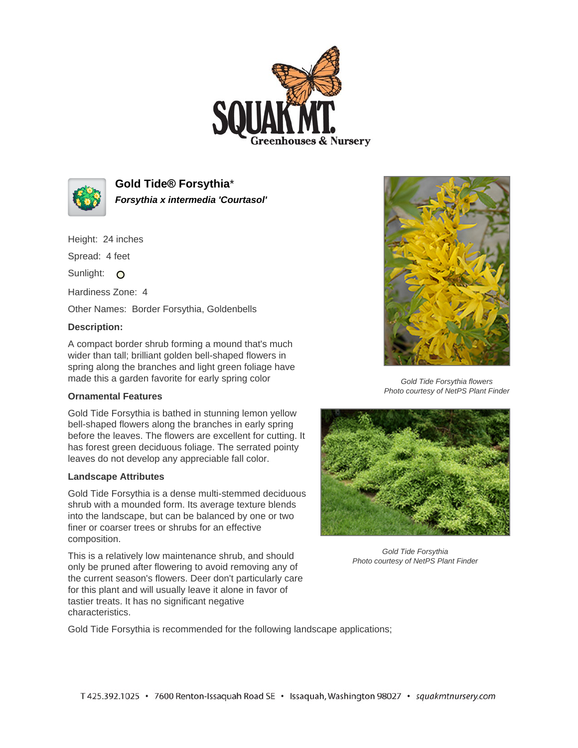



**Gold Tide® Forsythia**\* **Forsythia x intermedia 'Courtasol'**

Height: 24 inches

Spread: 4 feet

Sunlight: O

Hardiness Zone: 4

Other Names: Border Forsythia, Goldenbells

## **Description:**

A compact border shrub forming a mound that's much wider than tall; brilliant golden bell-shaped flowers in spring along the branches and light green foliage have made this a garden favorite for early spring color

## **Ornamental Features**

Gold Tide Forsythia is bathed in stunning lemon yellow bell-shaped flowers along the branches in early spring before the leaves. The flowers are excellent for cutting. It has forest green deciduous foliage. The serrated pointy leaves do not develop any appreciable fall color.

## **Landscape Attributes**

Gold Tide Forsythia is a dense multi-stemmed deciduous shrub with a mounded form. Its average texture blends into the landscape, but can be balanced by one or two finer or coarser trees or shrubs for an effective composition.

This is a relatively low maintenance shrub, and should only be pruned after flowering to avoid removing any of the current season's flowers. Deer don't particularly care for this plant and will usually leave it alone in favor of tastier treats. It has no significant negative characteristics.



Gold Tide Forsythia flowers Photo courtesy of NetPS Plant Finder



Gold Tide Forsythia Photo courtesy of NetPS Plant Finder

Gold Tide Forsythia is recommended for the following landscape applications;